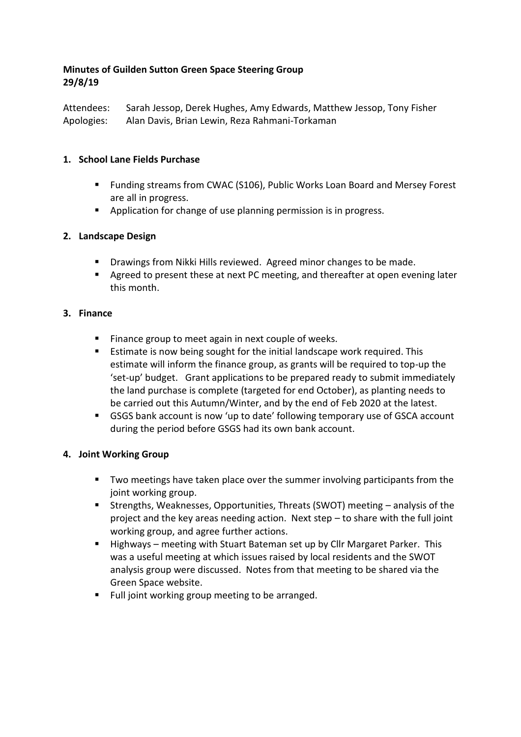### **Minutes of Guilden Sutton Green Space Steering Group 29/8/19**

Attendees: Sarah Jessop, Derek Hughes, Amy Edwards, Matthew Jessop, Tony Fisher Apologies: Alan Davis, Brian Lewin, Reza Rahmani-Torkaman

### **1. School Lane Fields Purchase**

- Funding streams from CWAC (S106), Public Works Loan Board and Mersey Forest are all in progress.
- **Application for change of use planning permission is in progress.**

# **2. Landscape Design**

- **•** Drawings from Nikki Hills reviewed. Agreed minor changes to be made.
- Agreed to present these at next PC meeting, and thereafter at open evening later this month.

### **3. Finance**

- **Finance group to meet again in next couple of weeks.**
- **Estimate is now being sought for the initial landscape work required. This** estimate will inform the finance group, as grants will be required to top-up the 'set-up' budget. Grant applications to be prepared ready to submit immediately the land purchase is complete (targeted for end October), as planting needs to be carried out this Autumn/Winter, and by the end of Feb 2020 at the latest.
- GSGS bank account is now 'up to date' following temporary use of GSCA account during the period before GSGS had its own bank account.

### **4. Joint Working Group**

- Two meetings have taken place over the summer involving participants from the joint working group.
- Strengths, Weaknesses, Opportunities, Threats (SWOT) meeting analysis of the project and the key areas needing action. Next step – to share with the full joint working group, and agree further actions.
- Highways meeting with Stuart Bateman set up by Cllr Margaret Parker. This was a useful meeting at which issues raised by local residents and the SWOT analysis group were discussed. Notes from that meeting to be shared via the Green Space website.
- Full joint working group meeting to be arranged.